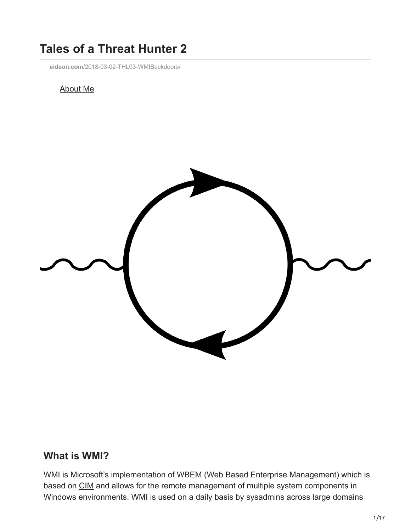# **Tales of a Threat Hunter 2**

**eideon.com**[/2018-03-02-THL03-WMIBackdoors/](https://www.eideon.com/2018-03-02-THL03-WMIBackdoors/)

### [About Me](https://www.eideon.com/aboutme)



## **What is WMI?**

WMI is Microsoft's implementation of WBEM (Web Based Enterprise Management) which is based on [CIM](http://www.dmtf.org/standards/cim) and allows for the remote management of multiple system components in Windows environments. WMI is used on a daily basis by sysadmins across large domains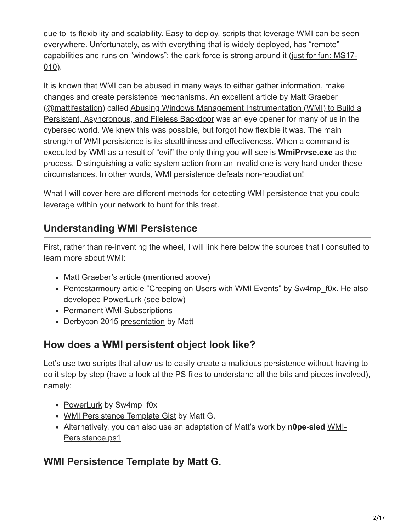due to its flexibility and scalability. Easy to deploy, scripts that leverage WMI can be seen everywhere. Unfortunately, as with everything that is widely deployed, has "remote" [capabilities and runs on "windows": the dark force is strong around it \(just for fun: MS17-](https://technet.microsoft.com/en-us/library/security/ms17-010.aspx) 010).

It is known that WMI can be abused in many ways to either gather information, make changes and create persistence mechanisms. An excellent article by Matt Graeber [\(@mattifestation\) called Abusing Windows Management Instrumentation \(WMI\) to Build a](https://www.blackhat.com/docs/us-15/materials/us-15-Graeber-Abusing-Windows-Management-Instrumentation-WMI-To-Build-A-Persistent%20Asynchronous-And-Fileless-Backdoor-wp.pdf) Persistent, Asyncronous, and Fileless Backdoor was an eye opener for many of us in the cybersec world. We knew this was possible, but forgot how flexible it was. The main strength of WMI persistence is its stealthiness and effectiveness. When a command is executed by WMI as a result of "evil" the only thing you will see is **WmiPrvse.exe** as the process. Distinguishing a valid system action from an invalid one is very hard under these circumstances. In other words, WMI persistence defeats non-repudiation!

What I will cover here are different methods for detecting WMI persistence that you could leverage within your network to hunt for this treat.

# **Understanding WMI Persistence**

First, rather than re-inventing the wheel, I will link here below the sources that I consulted to learn more about WMI:

- Matt Graeber's article (mentioned above)
- Pentestarmoury article ["Creeping on Users with WMI Events"](https://pentestarmoury.com/2016/07/13/151/) by Sw4mp\_f0x. He also developed PowerLurk (see below)
- [Permanent WMI Subscriptions](https://learn-powershell.net/2013/08/14/powershell-and-events-permanent-wmi-event-subscriptions/)
- Derbycon 2015 [presentation](https://www.youtube.com/watch?v=HJLCvBq3oms) by Matt

# **How does a WMI persistent object look like?**

Let's use two scripts that allow us to easily create a malicious persistence without having to do it step by step (have a look at the PS files to understand all the bits and pieces involved), namely:

- [PowerLurk](https://github.com/Sw4mpf0x/PowerLurk/blob/master/PowerLurk.ps1) by Sw4mp\_f0x
- [WMI Persistence Template Gist](https://gist.github.com/mattifestation/e55843eef6c263608206) by Matt G.
- [Alternatively, you can also use an adaptation of Matt's work by](https://github.com/n0pe-sled/WMI-Persistence/blob/master/WMI-Persistence.ps1) **n0pe-sled** WMI-Persistence.ps1

# **WMI Persistence Template by Matt G.**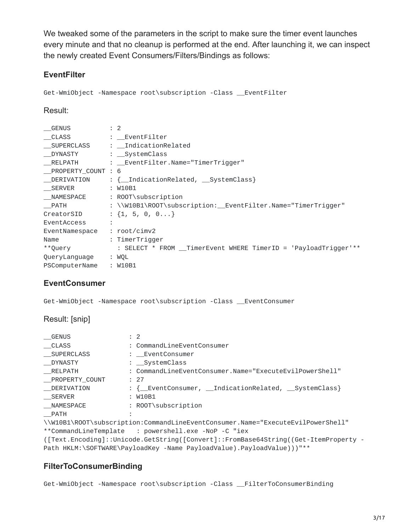We tweaked some of the parameters in the script to make sure the timer event launches every minute and that no cleanup is performed at the end. After launching it, we can inspect the newly created Event Consumers/Filters/Bindings as follows:

## **EventFilter**

Get-WmiObject -Namespace root\subscription -Class \_\_EventFilter

### Result:

| $\_$ GENUS          | $\therefore$ 2                                                    |
|---------------------|-------------------------------------------------------------------|
| $\_$ CLASS          | : EventFilter                                                     |
| __SUPERCLASS        | : __IndicationRelated                                             |
| __DYNASTY           | : __SystemClass                                                   |
| __RELPATH           | : __EventFilter.Name="TimerTrigger"                               |
| _PROPERTY_COUNT : 6 |                                                                   |
| _DERIVATION         | : $\{\_\}$ IndicationRelated, $\_\$ SystemClass $\}$              |
| __SERVER            | : W10B1                                                           |
| __NAMESPACE         | : ROOT\subscription                                               |
| <b>PATH</b>         | : \\W10B1\R00T\subscription: __ EventFilter.Name="TimerTrigger"   |
| CreatorSID          | : $\{1, 5, 0, 0 \}$                                               |
| EventAccess         |                                                                   |
| EventNamespace      | : root/cimv2                                                      |
| Name                | : TimerTrigger                                                    |
| **Query             | : SELECT * FROM __ TimerEvent WHERE TimerID = 'PayloadTrigger' ** |
| QueryLanguage       | : WQL                                                             |
| PSComputerName      | : W10B1                                                           |

## **EventConsumer**

Get-WmiObject -Namespace root\subscription -Class \_\_EventConsumer

Result: [snip]

| $\_$ GENUS                                                            | $\therefore$ 2                                                                      |  |  |
|-----------------------------------------------------------------------|-------------------------------------------------------------------------------------|--|--|
| CLASS                                                                 | : CommandLineEventConsumer                                                          |  |  |
| SUPERCLASS                                                            | : EventConsumer                                                                     |  |  |
| DYNASTY                                                               | : __SystemClass                                                                     |  |  |
| RELPATH                                                               | : CommandLineEventConsumer.Name="ExecuteEvilPowerShell"                             |  |  |
| PROPERTY COUNT                                                        | $\div$ 27                                                                           |  |  |
| DERIVATION                                                            | : { __EventConsumer, __IndicationRelated, __SystemClass}                            |  |  |
| SERVER                                                                | : W10B1                                                                             |  |  |
| __NAMESPACE                                                           | : ROOT\subscription                                                                 |  |  |
| <b>PATH</b>                                                           |                                                                                     |  |  |
|                                                                       | \\W10B1\ROOT\subscription:CommandLineEventConsumer.Name="ExecuteEvilPowerShell"     |  |  |
|                                                                       | **CommandLineTemplate : powershell.exe -NoP -C "iex                                 |  |  |
|                                                                       | ([Text.Encoding]::Unicode.GetString([Convert]::FromBase64String((Get-ItemProperty - |  |  |
| Path HKLM:\SOFTWARE\PayloadKey -Name PayloadValue).PayloadValue)))"** |                                                                                     |  |  |

## **FilterToConsumerBinding**

Get-WmiObject -Namespace root\subscription -Class \_\_FilterToConsumerBinding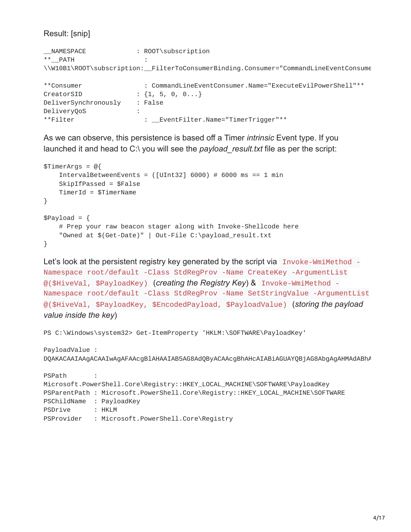Result: [snip]

| NAMESPACE                                                                             | : ROOT\subscription                                       |  |  |  |
|---------------------------------------------------------------------------------------|-----------------------------------------------------------|--|--|--|
| ** PATH                                                                               |                                                           |  |  |  |
| \\W10B1\ROOT\subscription:__FilterToConsumerBinding.Consumer="CommandLineEventConsume |                                                           |  |  |  |
|                                                                                       |                                                           |  |  |  |
| **Consumer                                                                            | : CommandLineEventConsumer.Name="ExecuteEvilPowerShell"** |  |  |  |
| CreatorSID                                                                            | $\colon \{1, 5, 0, 0 \ldots \}$                           |  |  |  |
| DeliverSynchronously                                                                  | : False                                                   |  |  |  |
| DeliveryQoS                                                                           |                                                           |  |  |  |
| **Filter                                                                              | : __EventFilter.Name="TimerTrigger"**                     |  |  |  |

As we can observe, this persistence is based off a Timer *intrinsic* Event type. If you launched it and head to C:\ you will see the *payload\_result.txt* file as per the script:

```
$TimerArgs = @{IntervalBetweenEvents = ([UInt32] 6000) # 6000 ms == 1 min
    SkipIfPassed = $False
    TimerId = $TimerName
}
$Payload = {# Prep your raw beacon stager along with Invoke-Shellcode here
    "Owned at $(Get-Date)" | Out-File C:\payload_result.txt
}
```
Let's look at the persistent registry key generated by the script via Invoke-WmiMethod -Namespace root/default -Class StdRegProv -Name CreateKey -ArgumentList @(\$HiveVal, \$PayloadKey) (*creating the Registry Key*) & Invoke-WmiMethod - Namespace root/default -Class StdRegProv -Name SetStringValue -ArgumentList @(\$HiveVal, \$PayloadKey, \$EncodedPayload, \$PayloadValue) (*storing the payload value inside the key*)

PS C:\Windows\system32> Get-ItemProperty 'HKLM:\SOFTWARE\PayloadKey'

```
PayloadValue :
DQAKACAAIAAgACAAIwAgAFAAcgBlAHAAIAB5AG8AdQByACAAcgBhAHcAIABiAGUAYQBjAG8AbgAgAHMAdABhA
```
PSPath : Microsoft.PowerShell.Core\Registry::HKEY\_LOCAL\_MACHINE\SOFTWARE\PayloadKey PSParentPath : Microsoft.PowerShell.Core\Registry::HKEY\_LOCAL\_MACHINE\SOFTWARE PSChildName : PayloadKey PSDrive : HKLM PSProvider : Microsoft.PowerShell.Core\Registry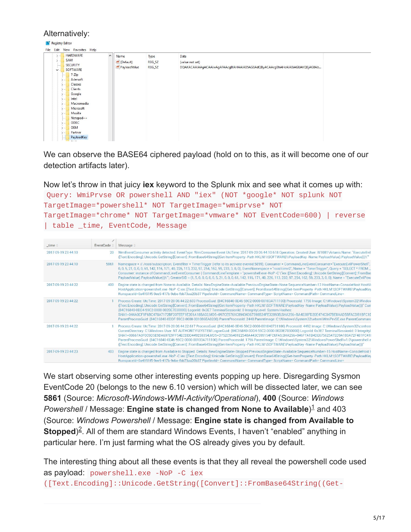#### Alternatively: Registry Editor File Edit View Favorites Help HARDWARE Name Type Data SAM ab (Default) REG SZ (value not set) SECURITY ab PayloadValue REG SZ DQAKACAAIAAgACAAIwAgAFAAcgBIAHAAIAB5AG8AdQByACAAcgBhAHcAIABiAGUAYQBjAG8Ab.. SOFTWARE  $7 - \mathsf{Zip}$ Adersoft Classes Clients Google Intel Macromedia Microsoft Mozilla Notepad++ ODBC OFM Partner PayloadKey

We can observe the BASE64 ciphered payload (hold on to this, as it will become one of our detection artifacts later).

Now let's throw in that juicy **iex** keyword to the Splunk mix and see what it comes up with: Query: WmiPrvse OR powershell AND "iex" (NOT \*google\* NOT splunk NOT TargetImage=\*powershell\* NOT TargetImage=\*wmiprvse\* NOT TargetImage=\*chrome\* NOT TargetImage=\*vmware\* NOT EventCode=600) | reverse | table \_time, EventCode, Message

| _time $\circ$       | EventCode © | Message ©                                                                                                                                                                                                                                                                                                                                                                                                                                                                                                                                                                                                                                                                                                                                                                |
|---------------------|-------------|--------------------------------------------------------------------------------------------------------------------------------------------------------------------------------------------------------------------------------------------------------------------------------------------------------------------------------------------------------------------------------------------------------------------------------------------------------------------------------------------------------------------------------------------------------------------------------------------------------------------------------------------------------------------------------------------------------------------------------------------------------------------------|
| 2017-09-19 23:44:10 | 20          | WmiEventConsumer activity detected: EventType: WmiConsumerEvent UtcTime: 2017-09-20 06:44:10.618 Operation: Created User: W10B1\Artanis Name: "ExecuteEvill<br>([Text.Encoding]::Unicode.GetString([Convert]::FromBase64String((Get-ItemProperty -Path HKLM:\\SOFTWARE\\PayloadKey -Name PayloadValue).PayloadValue))\""                                                                                                                                                                                                                                                                                                                                                                                                                                                 |
| 2017-09-19 23:44:10 | 5861        | Namespace = //./root/subscription; Eventfilter = TimerTrigger (refer to its activate eventid:5859); Consumer = CommandLineEventConsumer="ExecuteEvilPowerShell";<br>0, 0, 5, 21, 0, 0, 0, 61, 142, 116, 171, 40, 226, 113, 232, 97, 254, 162, 59, 233, 3, 0, 0}; EventNamespace = "root/cimv2"; Name = "TimerTrigger"; Query = "SELECT * FROM _<br>Consumer: instance of CommandLineEventConsumer { CommandLineTemplate = "powershell.exe -NoP -C \"iex ([Text.Encoding]::Unicode.GetString([Convert]::FromBas<br>PayloadValue).PayloadValue)))\""; CreatorSID = {1, 5, 0, 0, 0, 0, 0, 5, 21, 0, 0, 0, 61, 142, 116, 171, 40, 226, 113, 232, 97, 254, 162, 59, 233, 3, 0, 0}; Name = "ExecuteEvilPow                                                                     |
| 2017-09-19 23:44:22 | 400         | Engine state is changed from None to Available. Details: NewEngineState=Available PreviousEngineState=None SequenceNumber=13 HostName=ConsoleHost HostVe<br>HostApplication=powershell.exe-NoP-C iex ([Text.Encoding]::Unicode.GetString([Convert]:FromBase64String((Get-ItemProperty-Path HKLM:\SOFTWARE\PayloadKey<br>RunspaceId=0a4191f5-9ee9-417b-9ebe-fbb73aa20b37 PipelineId= CommandName= CommandType= ScriptName= CommandPath= CommandLine=                                                                                                                                                                                                                                                                                                                      |
| 2017-09-19 23:44:22 |             | Process Create: UtcTime: 2017-09-20 06:44:22.603 ProcessGuid: {84C16840-0E46-59C2-0000-00103A711100} ProcessId: 1756 Image: C:\Windows\System32\Window<br>(Text.Encoding)::Unicode.GetString([Convert]::FromBase64String((Get-ItemProperty -Path HKLM:\SOFTWARE\PayloadKey -Name PayloadValue).PayloadValue))" Curr<br>{84C16840-0DD4-59C2-0000-0020E7030000} LogonId: 0x3E7 TerminalSessionId: 0 IntegrityLevel: System Hashes:<br>SHA1=044A0CF1F6BC478A7172BF207EEF1E201A18BA02,MD5=097CE5761C89434367598B34FE32893B,SHA256=BA4038FD20E474C047BE8AAD5BFACDB1BFC1E<br>ParentProcessGuid: {84C16840-0DDF-59C2-0000-001086EA0200} ParentProcessId: 2448 ParentImage: C:\Windows\System32\wbem\WmiPrvSE.exe ParentCommand                                                  |
| 2017-09-19 23:44:22 |             | Process Create: UtcTime: 2017-09-20 06:44:22.617 ProcessGuid: {84C16840-0E46-59C2-0000-001040731100} ProcessId: 4492 Image: C:\Windows\System32\conhost<br>CurrentDirectory: C:\Windows User: NT AUTHORITY\SYSTEM LogonGuid: {84C16840-0DD4-59C2-0000-0020E7030000} LogonId: 0x3E7 TerminalSessionId: 0 IntegrityL<br>SHA1=00667A0F0C0D5E9DA697E9FF54ECDDD449259354,MD5=D752C96401E2540A443C599154FC6FA9,SHA256=046F7A1B4DE67562547ED9A180A72F481FC41I<br>ParentProcessGuid: {84C16840-0E46-59C2-0000-00103A711100} ParentProcessId: 1756 ParentImage: C:\Windows\System32\WindowsPowerShell\v1.0\powershell.e<br>([Text.Encoding]::Unicode.GetString([Convert]::FromBase64String((Get-ItemProperty -Path HKLM:\SOFTWARE\PayloadKey -Name PayloadValue).PayloadValue)))" |
| 2017-09-19 23:44:23 | 403         | Engine state is changed from Available to Stopped. Details: NewEngineState=Stopped PreviousEngineState=Available SequenceNumber=15 HostName=ConsoleHost F<br>HostApplication=powershell.exe-NoP-C iex ([Text.Encoding]::Unicode.GetString([Convert]::FromBase64String((Get-ItemProperty-Path HKLM:\SOFTWARE\PayloadKey<br>RunspaceId=0a4191f5-9ee9-417b-9ebe-fbb73aa20b37 PipelineId= CommandName= CommandType= ScriptName= CommandPath= CommandLine=                                                                                                                                                                                                                                                                                                                    |

We start observing some other interesting events popping up here. Disregarding Sysmon EventCode 20 (belongs to the new 6.10 version) which will be dissected later, we can see **5861** (Source: *Microsoft-Windows-WMI-Activity/Operational*), **400** (Source: *Windows* Powershell / Message: **Engine state is changed from None to Available**)<sup>1</sup> and 403 (Source: *Windows Powershell* / Message: **Engine state is changed from Available to** Stopped)<sup>2</sup>. All of them are standard Windows Events, I haven't "enabled" anything in particular here. I'm just farming what the OS already gives you by default.

The interesting thing about all these events is that they all reveal the powershell code used as payload: powershell.exe -NoP -C iex ([Text.Encoding]::Unicode.GetString([Convert]::FromBase64String((Get-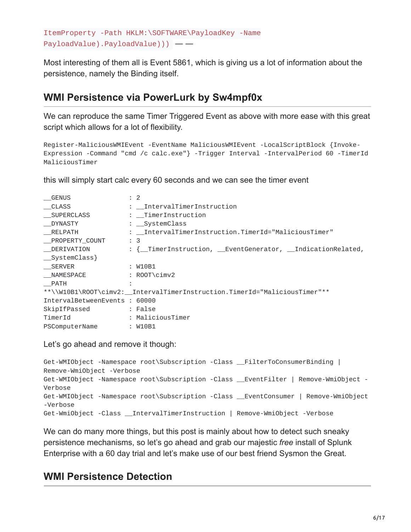```
ItemProperty -Path HKLM:\SOFTWARE\PayloadKey -Name
PayloadValue).PayloadValue))) ― ―
```
Most interesting of them all is Event 5861, which is giving us a lot of information about the persistence, namely the Binding itself.

## **WMI Persistence via PowerLurk by Sw4mpf0x**

We can reproduce the same Timer Triggered Event as above with more ease with this great script which allows for a lot of flexibility.

Register-MaliciousWMIEvent -EventName MaliciousWMIEvent -LocalScriptBlock {Invoke-Expression -Command "cmd /c calc.exe"} -Trigger Interval -IntervalPeriod 60 -TimerId MaliciousTimer

this will simply start calc every 60 seconds and we can see the timer event

| __GENUS                       | $\therefore$ 2                                                             |
|-------------------------------|----------------------------------------------------------------------------|
| $\_$ CLASS                    | : _IntervalTimerInstruction                                                |
| __SUPERCLASS                  | : TimerInstruction                                                         |
| _DYNASTY                      | : SystemClass                                                              |
| RELPATH                       | : __IntervalTimerInstruction.TimerId="MaliciousTimer"                      |
| _PROPERTY_COUNT               | $\colon$ 3                                                                 |
| _DERIVATION                   | : {_TimerInstruction, __EventGenerator, __IndicationRelated,               |
| $_$ SystemClass}              |                                                                            |
| SERVER                        | : W10B1                                                                    |
| __NAMESPACE                   | $:$ ROOT\cimv2                                                             |
| <b>PATH</b>                   |                                                                            |
|                               | **\\W10B1\ROOT\cimv2:__IntervalTimerInstruction.TimerId="MaliciousTimer"** |
| IntervalBetweenEvents : 60000 |                                                                            |
| SkipIfPassed                  | : False                                                                    |
| TimerId                       | : MaliciousTimer                                                           |
| PSComputerName                | : W10B1                                                                    |

Let's go ahead and remove it though:

```
Get-WMIObject -Namespace root\Subscription -Class __FilterToConsumerBinding |
Remove-WmiObject -Verbose
Get-WMIObject -Namespace root\Subscription -Class __EventFilter | Remove-WmiObject -
Verbose
Get-WMIObject -Namespace root\Subscription -Class __EventConsumer | Remove-WmiObject
-Verbose
Get-WmiObject -Class __IntervalTimerInstruction | Remove-WmiObject -Verbose
```
We can do many more things, but this post is mainly about how to detect such sneaky persistence mechanisms, so let's go ahead and grab our majestic *free* install of Splunk Enterprise with a 60 day trial and let's make use of our best friend Sysmon the Great.

## **WMI Persistence Detection**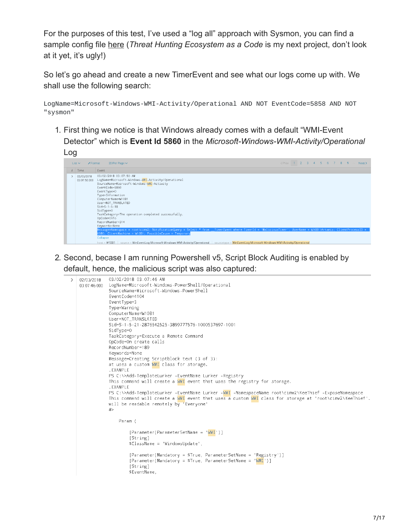For the purposes of this test, I've used a "log all" approach with Sysmon, you can find a sample config file [here](https://github.com/darkquasar/THL/blob/master/Templates/SysmonConfig-LogAll.xml) (*Threat Hunting Ecosystem as a Code* is my next project, don't look at it yet, it's ugly!)

So let's go ahead and create a new TimerEvent and see what our logs come up with. We shall use the following search:

LogName=Microsoft-Windows-WMI-Activity/Operational AND NOT EventCode=5858 AND NOT "sysmon"

1. First thing we notice is that Windows already comes with a default "WMI-Event Detector" which is **Event Id 5860** in the *Microsoft-Windows-WMI-Activity/Operational* Log



2. Second, becase I am running Powershell v5, Script Block Auditing is enabled by default, hence, the malicious script was also captured:

```
02/03/2018
           03/02/2018 03:07:46 AM
           LogName=Microsoft-Windows-PowerShell/Operational
03:07:46.000
           SourceName=Microsoft-Windows-PowerShell
           EventCode=4104
           EventType=3
           Type=Warning
           ComputerName=W10B1
           User=NOT_TRANSLATED
           Sid=S-1-5-21-2876542525-3899777576-1000537697-1001
           SidType=0
           TaskCategory=Execute a Remote Command
           OpCode=On create calls
           RecordNumber=189
           Keywords=None
           Message=Creating Scriptblock text (3 of 3):
           at uses a custom WMI class for storage.
           .EXAMPLE
           PS C:\>Add-TemplateLurker -EventName Lurker -Registry
           This command will create a WMI event that uses the registry for storage.
           . FXAMPLE
           PS C:\>Add-TemplateLurker -EventName Lurker -WMI -NamespaceName root\cimv2\KeeThief -ExposeNamespace
           This command will create a W\!M event that uses a custom W\!M class for storage at 'root\cimv2\KeeThief'.
           will be readable remotely by 'Everyone'
           #Param (
                   [Parameter(ParameterSetName = 'WMI')]
                   [String]
                   $ClassName = 'WindowsUpdate',
                   [Parameter(Mandatory = $True, ParameterSetName = 'Registry')]
                   [Parameter(Mandatory = $True, ParameterSetName = 'WMI')]
                   [String]
                   $EventName,
```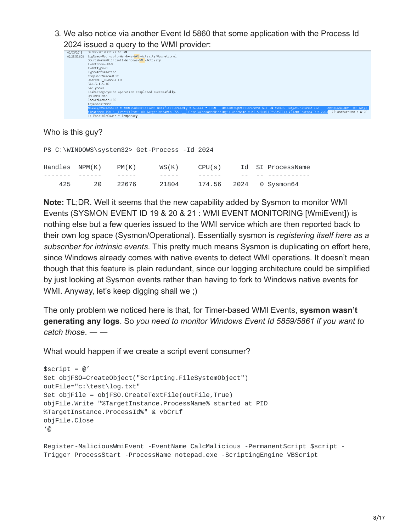3. We also notice via another Event Id 5860 that some application with the Process Id



Who is this guy?

|                    |     |       | PS C:\WINDOWS\system32> Get-Process -Id 2024 |        |                        |
|--------------------|-----|-------|----------------------------------------------|--------|------------------------|
| $Handles$ $NPM(K)$ |     | PM(K) | WS(K)                                        | CPU(s) | Id SI ProcessName      |
|                    |     |       |                                              |        |                        |
| 425                | 20. | 22676 | 21804                                        |        | 174.56 2024 0 Sysmon64 |

**Note:** TL;DR. Well it seems that the new capability added by Sysmon to monitor WMI Events (SYSMON EVENT ID 19 & 20 & 21 : WMI EVENT MONITORING [WmiEvent]) is nothing else but a few queries issued to the WMI service which are then reported back to their own log space (Sysmon/Operational). Essentially sysmon is *registering itself here as a subscriber for intrinsic events*. This pretty much means Sysmon is duplicating on effort here, since Windows already comes with native events to detect WMI operations. It doesn't mean though that this feature is plain redundant, since our logging architecture could be simplified by just looking at Sysmon events rather than having to fork to Windows native events for WMI. Anyway, let's keep digging shall we ;)

The only problem we noticed here is that, for Timer-based WMI Events, **sysmon wasn't generating any logs**. So *you need to monitor Windows Event Id 5859/5861 if you want to catch those*. *― ―*

What would happen if we create a script event consumer?

```
$script = @'Set objFSO=CreateObject("Scripting.FileSystemObject")
outFile="c:\test\log.txt"
Set objFile = objFSO.CreateTextFile(outFile,True)
objFile.Write "%TargetInstance.ProcessName% started at PID
%TargetInstance.ProcessId%" & vbCrLf
objFile.Close
'@
Register-MaliciousWmiEvent -EventName CalcMalicious -PermanentScript $script -
```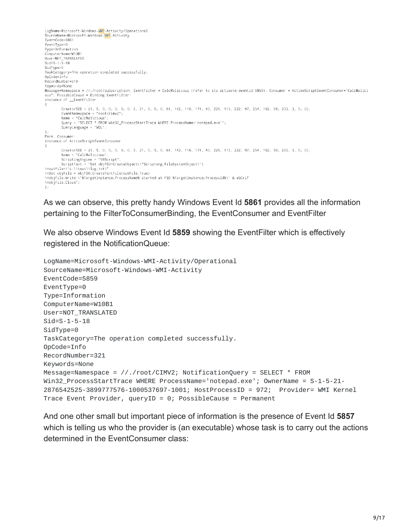```
LogName=Microsoft-Windows-WMI-Activity/Operational
SourceName=Microsoft-Windows-WMI-Activity
EventCode=5861
EventType=0
Type=Information
ComputerName=W10B1
User=NOT_TRANSLATED<br>Sid=S-1-5-18
SidType=0
TaskCategory=The operation completed successfully.
OpCode=Info
RecordNumber=319
Kevwords=None
.<br>Message=Namespace = //./root/subscription; Eventfilter = CalcMalicious (refer to its activate eventid:5859); Consumer = ActiveScriptEventConsumer="CalcMalici
ous"; PossibleCause = Binding EventFilter:
instance of _EventFilter
       CreatorSID = {1, 5, 0, 0, 0, 0, 0, 5, 21, 0, 0, 0, 61, 142, 116, 171, 40, 226, 113, 232, 97, 254, 162, 59, 233, 3, 0, 0};<br>EventNamespace = "root/cimv2";
       Name = "CalcMailricious"Query = "SELECT * FROM Win32_ProcessStartTrace WHERE ProcessName='notepad.exe'";
       QueryLanguage = "WQL";\mathcal{V}:
Perm. Consumer:
instance of ActiveScriptEventConsumer
       CreatorSID = {1, 5, 0, 0, 0, 0, 0, 5, 21, 0, 0, 0, 61, 142, 116, 171, 40, 226, 113, 232, 97, 254, 162, 59, 233, 3, 0, 0};
       Name = "CalcMalicious";
\nSet objFile = objFS0.CreateTextFile(outFile,True)
\nobjFile.Write \"%TargetInstance.ProcessName% started at PID %TargetInstance.ProcessId%\" & vbCrLf
\nobjFile.Close";
\} ;
```
As we can observe, this pretty handy Windows Event Id **5861** provides all the information pertaining to the FilterToConsumerBinding, the EventConsumer and EventFilter

We also observe Windows Event Id **5859** showing the EventFilter which is effectively registered in the NotificationQueue:

```
LogName=Microsoft-Windows-WMI-Activity/Operational
SourceName=Microsoft-Windows-WMI-Activity
EventCode=5859
EventType=0
Type=Information
ComputerName=W10B1
User=NOT_TRANSLATED
Sid=S-1-5-18
SidType=0
TaskCategory=The operation completed successfully.
OpCode=Info
RecordNumber=321
Keywords=None
Message=Namespace = //./root/CIMV2; NotificationQuery = SELECT * FROM
Win32_ProcessStartTrace WHERE ProcessName='notepad.exe'; OwnerName = S-1-5-21-
2876542525-3899777576-1000537697-1001; HostProcessID = 972; Provider= WMI Kernel
Trace Event Provider, queryID = 0; PossibleCause = Permanent
```
And one other small but important piece of information is the presence of Event Id **5857** which is telling us who the provider is (an executable) whose task is to carry out the actions determined in the EventConsumer class: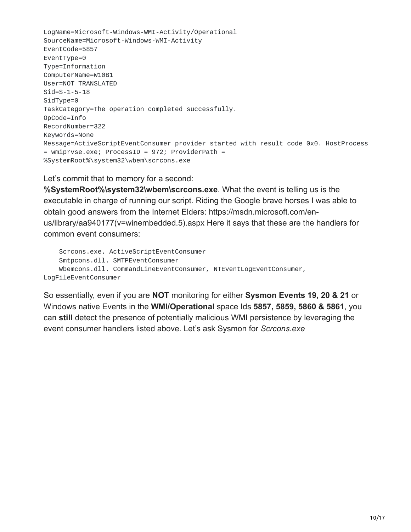LogName=Microsoft-Windows-WMI-Activity/Operational SourceName=Microsoft-Windows-WMI-Activity EventCode=5857 EventType=0 Type=Information ComputerName=W10B1 User=NOT\_TRANSLATED Sid=S-1-5-18 SidType=0 TaskCategory=The operation completed successfully. OpCode=Info RecordNumber=322 Keywords=None Message=ActiveScriptEventConsumer provider started with result code 0x0. HostProcess = wmiprvse.exe; ProcessID = 972; ProviderPath = %SystemRoot%\system32\wbem\scrcons.exe

Let's commit that to memory for a second:

**%SystemRoot%\system32\wbem\scrcons.exe**. What the event is telling us is the executable in charge of running our script. Riding the Google brave horses I was able to obtain good answers from the Internet Elders: https://msdn.microsoft.com/enus/library/aa940177(v=winembedded.5).aspx Here it says that these are the handlers for common event consumers:

Scrcons.exe. ActiveScriptEventConsumer Smtpcons.dll. SMTPEventConsumer Wbemcons.dll. CommandLineEventConsumer, NTEventLogEventConsumer, LogFileEventConsumer

So essentially, even if you are **NOT** monitoring for either **Sysmon Events 19, 20 & 21** or Windows native Events in the **WMI/Operational** space Ids **5857, 5859, 5860 & 5861**, you can **still** detect the presence of potentially malicious WMI persistence by leveraging the event consumer handlers listed above. Let's ask Sysmon for *Scrcons.exe*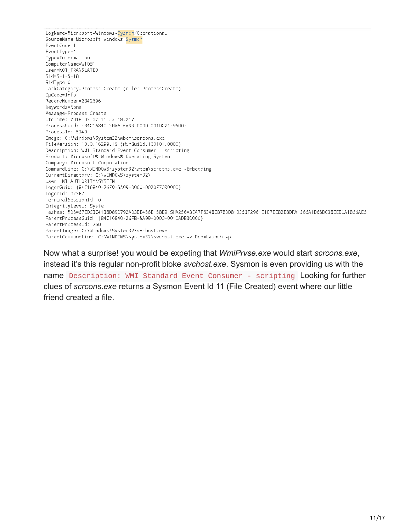LogName=Microsoft-Windows-Sysmon/Operational SourceName=Microsoft-Windows-Sysmon EventCode=1 EventType=4 Type=Information ComputerName=W10B1 User=NOT\_TRANSLATED  $Side = S - 1 - 5 - 18$ SidType=0 TaskCategory=Process Create (rule: ProcessCreate) OpCode=Info RecordNumber=2842696 Keywords=None Message=Process Create: UtcTime: 2018-03-02 11:55:18.217 ProcessGuid: {84C16840-3BA6-5A99-0000-0010C21F9A00} ProcessId: 5340 Image: C:\Windows\System32\wbem\scrcons.exe FileVersion: 10.0.16299.15 (WinBuild.160101.0800) Description: WMI Standard Event Consumer - scripting Product: Microsoft® Windows® Operating System Company: Microsoft Corporation CommandLine: C:\WINDOWS\system32\wbem\scrcons.exe -Embedding CurrentDirectory: C:\WINDOWS\system32\ User: NT AUTHORITY\SYSTEM LogonGuid: {84C16840-26F9-5A99-0000-0020E7030000} LogonId: 0x3E7 TerminalSessionId: 0 IntegrityLevel: System Hashes: MD5=67EDC3C4138D89D792A03BE456E158E9,SHA256=3EA7F6348C8783D810353F2961E1E7EE82E8DFA1366A1D65DC38EEB0A1866AE6 ParentProcessGuid: {84C16840-26FB-5A99-0000-0010ADB30000} ParentProcessId: 760 ParentImage: C:\Windows\System32\svchost.exe ParentCommandLine: C:\WINDOWS\system32\svchost.exe -k DcomLaunch -p

Now what a surprise! you would be expeting that *WmiPrvse.exe* would start *scrcons.exe*, instead it's this regular non-profit bloke *svchost.exe*. Sysmon is even providing us with the name Description: WMI Standard Event Consumer - scripting Looking for further clues of *scrcons.exe* returns a Sysmon Event Id 11 (File Created) event where our little friend created a file.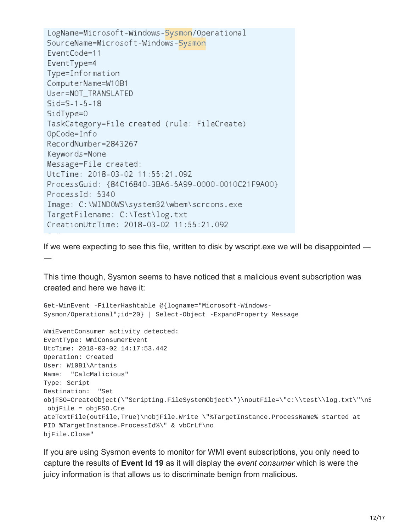LogName=Microsoft-Windows-Sysmon/Operational SourceName=Microsoft-Windows-Sysmon EventCode=11 EventType=4 Type=Information ComputerName=W10B1 User=NOT\_TRANSLATED  $Side=5-1-5-18$ SidType=0 TaskCategory=File created (rule: FileCreate) OpCode=Info RecordNumber=2843267 Keywords=None Message=File created: UtcTime: 2018-03-02 11:55:21.092 ProcessGuid: {84C16840-3BA6-5A99-0000-0010C21F9A00} ProcessId: 5340 Image: C:\WINDOWS\system32\wbem\scrcons.exe TargetFilename: C:\Test\log.txt CreationUtcTime: 2018-03-02 11:55:21.092

If we were expecting to see this file, written to disk by wscript.exe we will be disappointed *― ―*

This time though, Sysmon seems to have noticed that a malicious event subscription was created and here we have it:

```
Get-WinEvent -FilterHashtable @{logname="Microsoft-Windows-
Sysmon/Operational";id=20} | Select-Object -ExpandProperty Message
WmiEventConsumer activity detected:
EventType: WmiConsumerEvent
UtcTime: 2018-03-02 14:17:53.442
Operation: Created
User: W10B1\Artanis
Name: "CalcMalicious"
Type: Script
Destination: "Set
objFSO=CreateObject(\"Scripting.FileSystemObject\")\noutFile=\"c:\\test\\log.txt\"\nS
objFile = objFSO.Cre
ateTextFile(outFile,True)\nobjFile.Write \"%TargetInstance.ProcessName% started at
PID %TargetInstance.ProcessId%\" & vbCrLf\no
bjFile.Close"
```
If you are using Sysmon events to monitor for WMI event subscriptions, you only need to capture the results of **Event Id 19** as it will display the *event consumer* which is were the juicy information is that allows us to discriminate benign from malicious.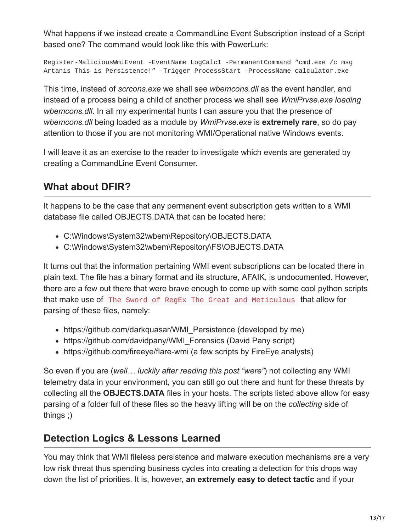What happens if we instead create a CommandLine Event Subscription instead of a Script based one? The command would look like this with PowerLurk:

Register-MaliciousWmiEvent -EventName LogCalc1 -PermanentCommand "cmd.exe /c msg Artanis This is Persistence!" -Trigger ProcessStart -ProcessName calculator.exe

This time, instead of *scrcons.exe* we shall see *wbemcons.dll* as the event handler, and instead of a process being a child of another process we shall see *WmiPrvse.exe loading wbemcons.dll*. In all my experimental hunts I can assure you that the presence of *wbemcons.dll* being loaded as a module by *WmiPrvse.exe* is **extremely rare**, so do pay attention to those if you are not monitoring WMI/Operational native Windows events.

I will leave it as an exercise to the reader to investigate which events are generated by creating a CommandLine Event Consumer.

# **What about DFIR?**

It happens to be the case that any permanent event subscription gets written to a WMI database file called OBJECTS.DATA that can be located here:

- C:\Windows\System32\wbem\Repository\OBJECTS.DATA
- C:\Windows\System32\wbem\Repository\FS\OBJECTS.DATA

It turns out that the information pertaining WMI event subscriptions can be located there in plain text. The file has a binary format and its structure, AFAIK, is undocumented. However, there are a few out there that were brave enough to come up with some cool python scripts that make use of The Sword of RegEx The Great and Meticulous that allow for parsing of these files, namely:

- https://github.com/darkquasar/WMI\_Persistence (developed by me)
- https://github.com/davidpany/WMI\_Forensics (David Pany script)
- https://github.com/fireeye/flare-wmi (a few scripts by FireEye analysts)

So even if you are (*well… luckily after reading this post "were"*) not collecting any WMI telemetry data in your environment, you can still go out there and hunt for these threats by collecting all the **OBJECTS.DATA** files in your hosts. The scripts listed above allow for easy parsing of a folder full of these files so the heavy lifting will be on the *collecting* side of things ;)

# **Detection Logics & Lessons Learned**

You may think that WMI fileless persistence and malware execution mechanisms are a very low risk threat thus spending business cycles into creating a detection for this drops way down the list of priorities. It is, however, **an extremely easy to detect tactic** and if your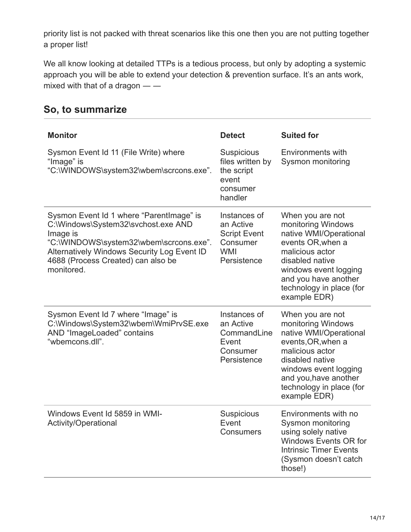priority list is not packed with threat scenarios like this one then you are not putting together a proper list!

We all know looking at detailed TTPs is a tedious process, but only by adopting a systemic approach you will be able to extend your detection & prevention surface. It's an ants work, mixed with that of a dragon *― ―*

|  | <b>So, to summarize</b> |
|--|-------------------------|
|  |                         |

| <b>Monitor</b>                                                                                                                                                                                                                            | <b>Detect</b>                                                                             | <b>Suited for</b>                                                                                                                                                                                                          |
|-------------------------------------------------------------------------------------------------------------------------------------------------------------------------------------------------------------------------------------------|-------------------------------------------------------------------------------------------|----------------------------------------------------------------------------------------------------------------------------------------------------------------------------------------------------------------------------|
| Sysmon Event Id 11 (File Write) where<br>"Image" is<br>"C:\WINDOWS\system32\wbem\scrcons.exe".                                                                                                                                            | Suspicious<br>files written by<br>the script<br>event<br>consumer<br>handler              | <b>Environments with</b><br>Sysmon monitoring                                                                                                                                                                              |
| Sysmon Event Id 1 where "ParentImage" is<br>C:\Windows\System32\svchost.exe AND<br>Image is<br>"C:\WINDOWS\system32\wbem\scrcons.exe".<br>Alternatively Windows Security Log Event ID<br>4688 (Process Created) can also be<br>monitored. | Instances of<br>an Active<br><b>Script Event</b><br>Consumer<br><b>WMI</b><br>Persistence | When you are not<br>monitoring Windows<br>native WMI/Operational<br>events OR, when a<br>malicious actor<br>disabled native<br>windows event logging<br>and you have another<br>technology in place (for<br>example EDR)   |
| Sysmon Event Id 7 where "Image" is<br>C:\Windows\System32\wbem\WmiPrvSE.exe<br>AND "ImageLoaded" contains<br>"wbemcons.dll".                                                                                                              | Instances of<br>an Active<br>CommandLine<br>Event<br>Consumer<br>Persistence              | When you are not<br>monitoring Windows<br>native WMI/Operational<br>events, OR, when a<br>malicious actor<br>disabled native<br>windows event logging<br>and you, have another<br>technology in place (for<br>example EDR) |
| Windows Event Id 5859 in WMI-<br>Activity/Operational                                                                                                                                                                                     | Suspicious<br>Event<br><b>Consumers</b>                                                   | Environments with no<br>Sysmon monitoring<br>using solely native<br><b>Windows Events OR for</b><br><b>Intrinsic Timer Events</b><br>(Sysmon doesn't catch<br>those!)                                                      |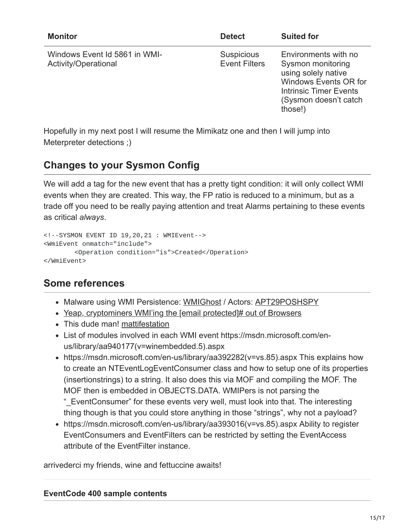| <b>Monitor</b>                                        | <b>Detect</b>                             | <b>Suited for</b>                                                                                                                                       |
|-------------------------------------------------------|-------------------------------------------|---------------------------------------------------------------------------------------------------------------------------------------------------------|
| Windows Event Id 5861 in WMI-<br>Activity/Operational | <b>Suspicious</b><br><b>Event Filters</b> | Environments with no<br>Sysmon monitoring<br>using solely native<br>Windows Events OR for<br>Intrinsic Timer Events<br>(Sysmon doesn't catch<br>those!) |

Hopefully in my next post I will resume the Mimikatz one and then I will jump into Meterpreter detections ;)

## **Changes to your Sysmon Config**

We will add a tag for the new event that has a pretty tight condition: it will only collect WMI events when they are created. This way, the FP ratio is reduced to a minimum, but as a trade off you need to be really paying attention and treat Alarms pertaining to these events as critical *always*.

```
<!--SYSMON EVENT ID 19,20,21 : WMIEvent-->
<WmiEvent onmatch="include">
        <Operation condition="is">Created</Operation>
</WmiEvent>
```
## **Some references**

- Malware using WMI Persistence: [WMIGhost](https://secrary.com/ReversingMalware/WMIGhost/) / Actors: [APT29POSHSPY](https://www.fireeye.com/blog/threat-research/2017/03/dissecting_one_ofap.html)
- [Yeap, cryptominers WMI'ing the \[email protected\]# out of Browsers](http://blog.trendmicro.com/trendlabs-security-intelligence/cryptocurrency-miner-uses-wmi-eternalblue-spread-filelessly/)
- This dude man! [mattifestation](https://twitter.com/mattifestation/status/899646620148539397)
- List of modules involved in each WMI event https://msdn.microsoft.com/enus/library/aa940177(v=winembedded.5).aspx
- https://msdn.microsoft.com/en-us/library/aa392282(v=vs.85).aspx This explains how to create an NTEventLogEventConsumer class and how to setup one of its properties (insertionstrings) to a string. It also does this via MOF and compiling the MOF. The MOF then is embedded in OBJECTS.DATA. WMIPers is not parsing the "\_EventConsumer" for these events very well, must look into that. The interesting thing though is that you could store anything in those "strings", why not a payload?
- https://msdn.microsoft.com/en-us/library/aa393016(v=vs.85).aspx Ability to register EventConsumers and EventFilters can be restricted by setting the EventAccess attribute of the EventFilter instance.

arrivederci my friends, wine and fettuccine awaits!

### **EventCode 400 sample contents**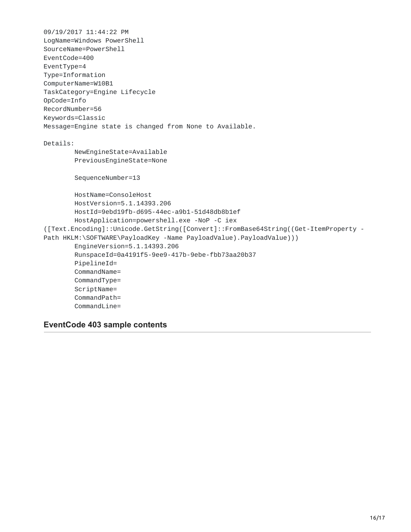09/19/2017 11:44:22 PM LogName=Windows PowerShell SourceName=PowerShell EventCode=400 EventType=4 Type=Information ComputerName=W10B1 TaskCategory=Engine Lifecycle OpCode=Info RecordNumber=56 Keywords=Classic Message=Engine state is changed from None to Available. Details: NewEngineState=Available PreviousEngineState=None SequenceNumber=13 HostName=ConsoleHost HostVersion=5.1.14393.206 HostId=9ebd19fb-d695-44ec-a9b1-51d48db8b1ef HostApplication=powershell.exe -NoP -C iex ([Text.Encoding]::Unicode.GetString([Convert]::FromBase64String((Get-ItemProperty - Path HKLM:\SOFTWARE\PayloadKey -Name PayloadValue).PayloadValue))) EngineVersion=5.1.14393.206 RunspaceId=0a4191f5-9ee9-417b-9ebe-fbb73aa20b37 PipelineId= CommandName= CommandType= ScriptName= CommandPath= CommandLine=

### **EventCode 403 sample contents**